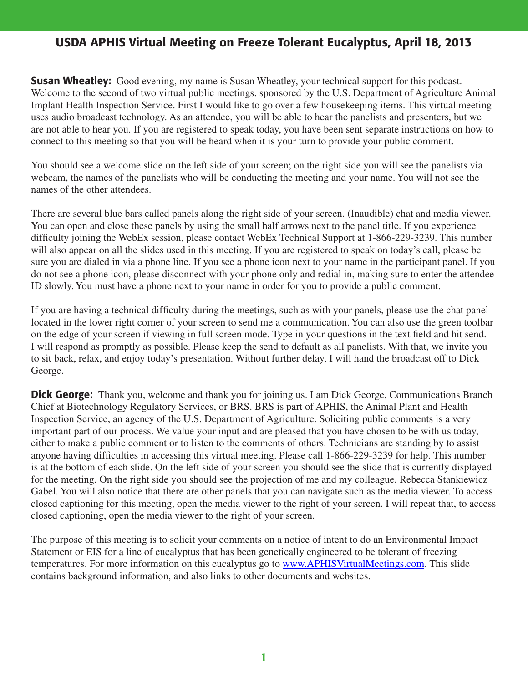**Susan Wheatley:** Good evening, my name is Susan Wheatley, your technical support for this podcast. Welcome to the second of two virtual public meetings, sponsored by the U.S. Department of Agriculture Animal Implant Health Inspection Service. First I would like to go over a few housekeeping items. This virtual meeting uses audio broadcast technology. As an attendee, you will be able to hear the panelists and presenters, but we are not able to hear you. If you are registered to speak today, you have been sent separate instructions on how to connect to this meeting so that you will be heard when it is your turn to provide your public comment.

You should see a welcome slide on the left side of your screen; on the right side you will see the panelists via webcam, the names of the panelists who will be conducting the meeting and your name. You will not see the names of the other attendees.

There are several blue bars called panels along the right side of your screen. (Inaudible) chat and media viewer. You can open and close these panels by using the small half arrows next to the panel title. If you experience difficulty joining the WebEx session, please contact WebEx Technical Support at 1-866-229-3239. This number will also appear on all the slides used in this meeting. If you are registered to speak on today's call, please be sure you are dialed in via a phone line. If you see a phone icon next to your name in the participant panel. If you do not see a phone icon, please disconnect with your phone only and redial in, making sure to enter the attendee ID slowly. You must have a phone next to your name in order for you to provide a public comment.

If you are having a technical difficulty during the meetings, such as with your panels, please use the chat panel located in the lower right corner of your screen to send me a communication. You can also use the green toolbar on the edge of your screen if viewing in full screen mode. Type in your questions in the text field and hit send. I will respond as promptly as possible. Please keep the send to default as all panelists. With that, we invite you to sit back, relax, and enjoy today's presentation. Without further delay, I will hand the broadcast off to Dick George.

**Dick George:** Thank you, welcome and thank you for joining us. I am Dick George, Communications Branch Chief at Biotechnology Regulatory Services, or BRS. BRS is part of APHIS, the Animal Plant and Health Inspection Service, an agency of the U.S. Department of Agriculture. Soliciting public comments is a very important part of our process. We value your input and are pleased that you have chosen to be with us today, either to make a public comment or to listen to the comments of others. Technicians are standing by to assist anyone having difficulties in accessing this virtual meeting. Please call 1-866-229-3239 for help. This number is at the bottom of each slide. On the left side of your screen you should see the slide that is currently displayed for the meeting. On the right side you should see the projection of me and my colleague, Rebecca Stankiewicz Gabel. You will also notice that there are other panels that you can navigate such as the media viewer. To access closed captioning for this meeting, open the media viewer to the right of your screen. I will repeat that, to access closed captioning, open the media viewer to the right of your screen.

The purpose of this meeting is to solicit your comments on a notice of intent to do an Environmental Impact Statement or EIS for a line of eucalyptus that has been genetically engineered to be tolerant of freezing temperatures. For more information on this eucalyptus go to www.APHISVirtualMeetings.com. This slide contains background information, and also links to other documents and websites.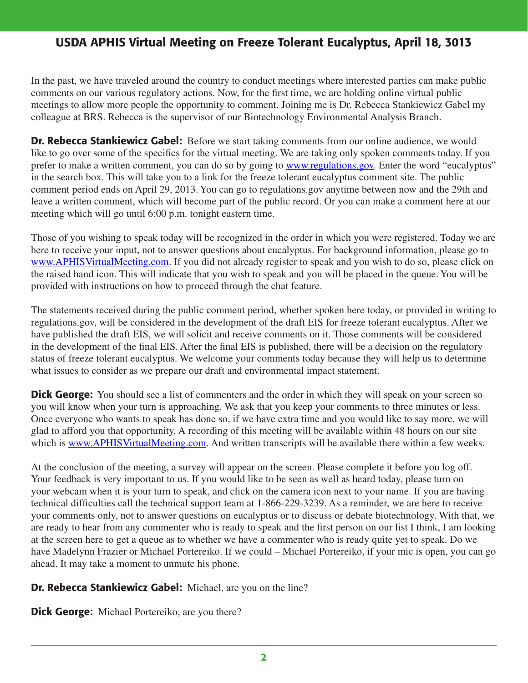In the past, we have traveled around the country to conduct meetings where interested parties can make public comments on our various regulatory actions. Now, for the first time, we are holding online virtual public meetings to allow more people the opportunity to comment. Joining me is Dr. Rebecca Stankiewicz Gabel my colleague at BRS. Rebecca is the supervisor of our Biotechnology Environmental Analysis Branch.

Dr. Rebecca Stankiewicz Gabel: Before we start taking comments from our online audience, we would like to go over some of the specifics for the virtual meeting. We are taking only spoken comments today. If you prefer to make a written comment, you can do so by going to www.regulations.gov. Enter the word "eucalyptus" in the search box. This will take you to a link for the freeze tolerant eucalyptus comment site. The public comment period ends on April 29, 2013. You can go to regulations.gov anytime between now and the 29th and leave a written comment, which will become part of the public record. Or you can make a comment here at our meeting which will go until 6:00 p.m. tonight eastern time.

Those of you wishing to speak today will be recognized in the order in which you were registered. Today we are here to receive your input, not to answer questions about eucalyptus. For background information, please go to www.APHISVirtualMeeting.com. If you did not already register to speak and you wish to do so, please click on the raised hand icon. This will indicate that you wish to speak and you will be placed in the queue. You will be provided with instructions on how to proceed through the chat feature.

The statements received during the public comment period, whether spoken here today, or provided in writing to regulations.gov, will be considered in the development of the draft EIS for freeze tolerant eucalyptus. After we have published the draft EIS, we will solicit and receive comments on it. Those comments will be considered in the development of the final EIS. After the final EIS is published, there will be a decision on the regulatory status of freeze tolerant eucalyptus. We welcome your comments today because they will help us to determine what issues to consider as we prepare our draft and environmental impact statement.

**Dick George:** You should see a list of commenters and the order in which they will speak on your screen so you will know when your turn is approaching. We ask that you keep your comments to three minutes or less. Once everyone who wants to speak has done so, if we have extra time and you would like to say more, we will glad to afford you that opportunity. A recording of this meeting will be available within 48 hours on our site which is www.APHISVirtualMeeting.com. And written transcripts will be available there within a few weeks.

At the conclusion of the meeting, a survey will appear on the screen. Please complete it before you log off. Your feedback is very important to us. If you would like to be seen as well as heard today, please turn on your webcam when it is your turn to speak, and click on the camera icon next to your name. If you are having technical difficulties call the technical support team at 1-866-229-3239. As a reminder, we are here to receive your comments only, not to answer questions on eucalyptus or to discuss or debate biotechnology. With that, we are ready to hear from any commenter who is ready to speak and the first person on our list I think, I am looking at the screen here to get a queue as to whether we have a commenter who is ready quite yet to speak. Do we have Madelynn Frazier or Michael Portereiko. If we could – Michael Portereiko, if your mic is open, you can go ahead. It may take a moment to unmute his phone.

### **Dr. Rebecca Stankiewicz Gabel:** Michael, are you on the line?

**Dick George:** Michael Portereiko, are you there?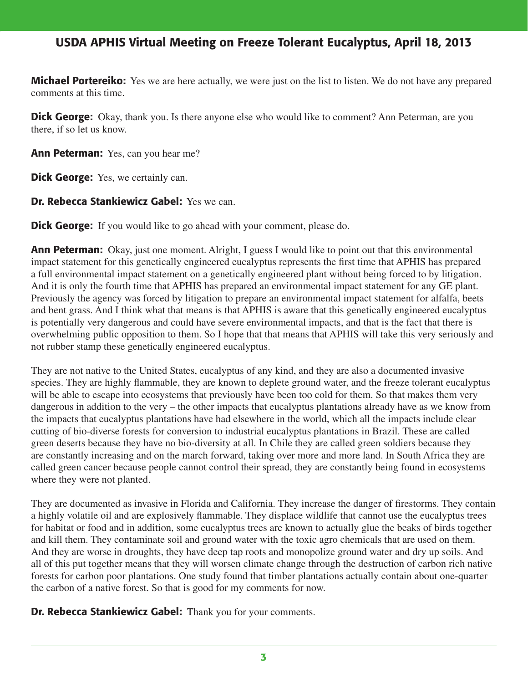**Michael Portereiko:** Yes we are here actually, we were just on the list to listen. We do not have any prepared comments at this time.

**Dick George:** Okay, thank you. Is there anyone else who would like to comment? Ann Peterman, are you there, if so let us know.

Ann Peterman: Yes, can you hear me?

**Dick George:** Yes, we certainly can.

Dr. Rebecca Stankiewicz Gabel: Yes we can.

**Dick George:** If you would like to go ahead with your comment, please do.

**Ann Peterman:** Okay, just one moment. Alright, I guess I would like to point out that this environmental impact statement for this genetically engineered eucalyptus represents the first time that APHIS has prepared a full environmental impact statement on a genetically engineered plant without being forced to by litigation. And it is only the fourth time that APHIS has prepared an environmental impact statement for any GE plant. Previously the agency was forced by litigation to prepare an environmental impact statement for alfalfa, beets and bent grass. And I think what that means is that APHIS is aware that this genetically engineered eucalyptus is potentially very dangerous and could have severe environmental impacts, and that is the fact that there is overwhelming public opposition to them. So I hope that that means that APHIS will take this very seriously and not rubber stamp these genetically engineered eucalyptus.

They are not native to the United States, eucalyptus of any kind, and they are also a documented invasive species. They are highly flammable, they are known to deplete ground water, and the freeze tolerant eucalyptus will be able to escape into ecosystems that previously have been too cold for them. So that makes them very dangerous in addition to the very – the other impacts that eucalyptus plantations already have as we know from the impacts that eucalyptus plantations have had elsewhere in the world, which all the impacts include clear cutting of bio-diverse forests for conversion to industrial eucalyptus plantations in Brazil. These are called green deserts because they have no bio-diversity at all. In Chile they are called green soldiers because they are constantly increasing and on the march forward, taking over more and more land. In South Africa they are called green cancer because people cannot control their spread, they are constantly being found in ecosystems where they were not planted.

They are documented as invasive in Florida and California. They increase the danger of firestorms. They contain a highly volatile oil and are explosively flammable. They displace wildlife that cannot use the eucalyptus trees for habitat or food and in addition, some eucalyptus trees are known to actually glue the beaks of birds together and kill them. They contaminate soil and ground water with the toxic agro chemicals that are used on them. And they are worse in droughts, they have deep tap roots and monopolize ground water and dry up soils. And all of this put together means that they will worsen climate change through the destruction of carbon rich native forests for carbon poor plantations. One study found that timber plantations actually contain about one-quarter the carbon of a native forest. So that is good for my comments for now.

**Dr. Rebecca Stankiewicz Gabel:** Thank you for your comments.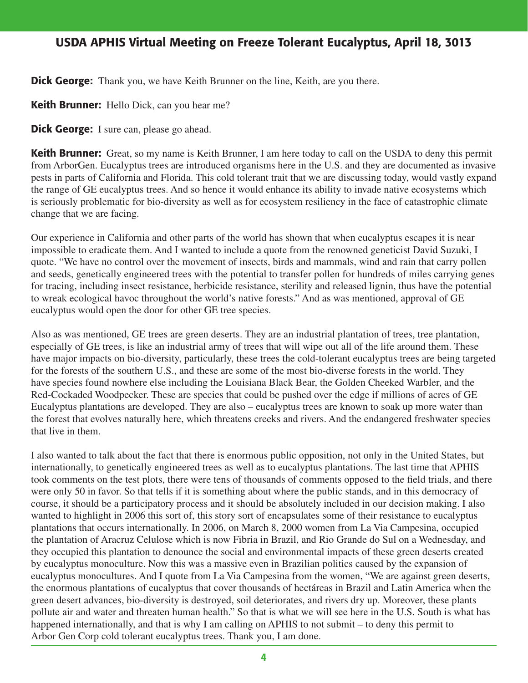**Dick George:** Thank you, we have Keith Brunner on the line, Keith, are you there.

**Keith Brunner:** Hello Dick, can you hear me?

**Dick George:** I sure can, please go ahead.

**Keith Brunner:** Great, so my name is Keith Brunner, I am here today to call on the USDA to deny this permit from ArborGen. Eucalyptus trees are introduced organisms here in the U.S. and they are documented as invasive pests in parts of California and Florida. This cold tolerant trait that we are discussing today, would vastly expand the range of GE eucalyptus trees. And so hence it would enhance its ability to invade native ecosystems which is seriously problematic for bio-diversity as well as for ecosystem resiliency in the face of catastrophic climate change that we are facing.

Our experience in California and other parts of the world has shown that when eucalyptus escapes it is near impossible to eradicate them. And I wanted to include a quote from the renowned geneticist David Suzuki, I quote. "We have no control over the movement of insects, birds and mammals, wind and rain that carry pollen and seeds, genetically engineered trees with the potential to transfer pollen for hundreds of miles carrying genes for tracing, including insect resistance, herbicide resistance, sterility and released lignin, thus have the potential to wreak ecological havoc throughout the world's native forests." And as was mentioned, approval of GE eucalyptus would open the door for other GE tree species.

Also as was mentioned, GE trees are green deserts. They are an industrial plantation of trees, tree plantation, especially of GE trees, is like an industrial army of trees that will wipe out all of the life around them. These have major impacts on bio-diversity, particularly, these trees the cold-tolerant eucalyptus trees are being targeted for the forests of the southern U.S., and these are some of the most bio-diverse forests in the world. They have species found nowhere else including the Louisiana Black Bear, the Golden Cheeked Warbler, and the Red-Cockaded Woodpecker. These are species that could be pushed over the edge if millions of acres of GE Eucalyptus plantations are developed. They are also – eucalyptus trees are known to soak up more water than the forest that evolves naturally here, which threatens creeks and rivers. And the endangered freshwater species that live in them.

I also wanted to talk about the fact that there is enormous public opposition, not only in the United States, but internationally, to genetically engineered trees as well as to eucalyptus plantations. The last time that APHIS took comments on the test plots, there were tens of thousands of comments opposed to the field trials, and there were only 50 in favor. So that tells if it is something about where the public stands, and in this democracy of course, it should be a participatory process and it should be absolutely included in our decision making. I also wanted to highlight in 2006 this sort of, this story sort of encapsulates some of their resistance to eucalyptus plantations that occurs internationally. In 2006, on March 8, 2000 women from La Via Campesina, occupied the plantation of Aracruz Celulose which is now Fibria in Brazil, and Rio Grande do Sul on a Wednesday, and they occupied this plantation to denounce the social and environmental impacts of these green deserts created by eucalyptus monoculture. Now this was a massive even in Brazilian politics caused by the expansion of eucalyptus monocultures. And I quote from La Via Campesina from the women, "We are against green deserts, the enormous plantations of eucalyptus that cover thousands of hectáreas in Brazil and Latin America when the green desert advances, bio-diversity is destroyed, soil deteriorates, and rivers dry up. Moreover, these plants pollute air and water and threaten human health." So that is what we will see here in the U.S. South is what has happened internationally, and that is why I am calling on APHIS to not submit – to deny this permit to Arbor Gen Corp cold tolerant eucalyptus trees. Thank you, I am done.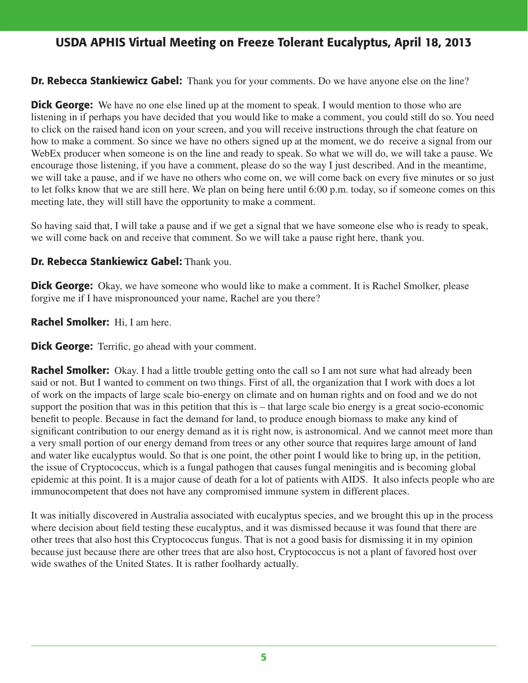#### **Dr. Rebecca Stankiewicz Gabel:** Thank you for your comments. Do we have anyone else on the line?

**Dick George:** We have no one else lined up at the moment to speak. I would mention to those who are listening in if perhaps you have decided that you would like to make a comment, you could still do so. You need to click on the raised hand icon on your screen, and you will receive instructions through the chat feature on how to make a comment. So since we have no others signed up at the moment, we do receive a signal from our WebEx producer when someone is on the line and ready to speak. So what we will do, we will take a pause. We encourage those listening, if you have a comment, please do so the way I just described. And in the meantime, we will take a pause, and if we have no others who come on, we will come back on every five minutes or so just to let folks know that we are still here. We plan on being here until 6:00 p.m. today, so if someone comes on this meeting late, they will still have the opportunity to make a comment.

So having said that, I will take a pause and if we get a signal that we have someone else who is ready to speak, we will come back on and receive that comment. So we will take a pause right here, thank you.

#### Dr. Rebecca Stankiewicz Gabel: Thank you.

**Dick George:** Okay, we have someone who would like to make a comment. It is Rachel Smolker, please forgive me if I have mispronounced your name, Rachel are you there?

#### Rachel Smolker: Hi, I am here.

**Dick George:** Terrific, go ahead with your comment.

**Rachel Smolker:** Okay. I had a little trouble getting onto the call so I am not sure what had already been said or not. But I wanted to comment on two things. First of all, the organization that I work with does a lot of work on the impacts of large scale bio-energy on climate and on human rights and on food and we do not support the position that was in this petition that this is – that large scale bio energy is a great socio-economic benefit to people. Because in fact the demand for land, to produce enough biomass to make any kind of significant contribution to our energy demand as it is right now, is astronomical. And we cannot meet more than a very small portion of our energy demand from trees or any other source that requires large amount of land and water like eucalyptus would. So that is one point, the other point I would like to bring up, in the petition, the issue of Cryptococcus, which is a fungal pathogen that causes fungal meningitis and is becoming global epidemic at this point. It is a major cause of death for a lot of patients with AIDS. It also infects people who are immunocompetent that does not have any compromised immune system in different places.

It was initially discovered in Australia associated with eucalyptus species, and we brought this up in the process where decision about field testing these eucalyptus, and it was dismissed because it was found that there are other trees that also host this Cryptococcus fungus. That is not a good basis for dismissing it in my opinion because just because there are other trees that are also host, Cryptococcus is not a plant of favored host over wide swathes of the United States. It is rather foolhardy actually.